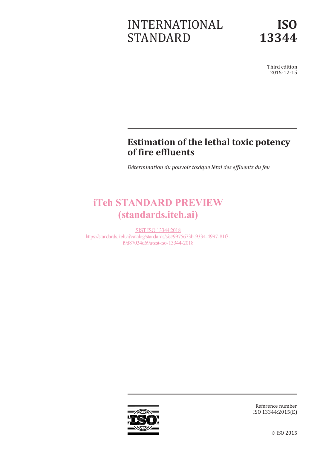# INTERNATIONAL STANDARD

Third edition 2015-12-15

# **Estimation of the lethal toxic potency of fire effluents**

*Détermination du pouvoir toxique létal des effluents du feu*

# iTeh STANDARD PREVIEW (standards.iteh.ai)

SIST ISO 13344:2018 https://standards.iteh.ai/catalog/standards/sist/9975673b-9334-4997-81f3 f9d87034d69a/sist-iso-13344-2018



Reference number ISO 13344:2015(E)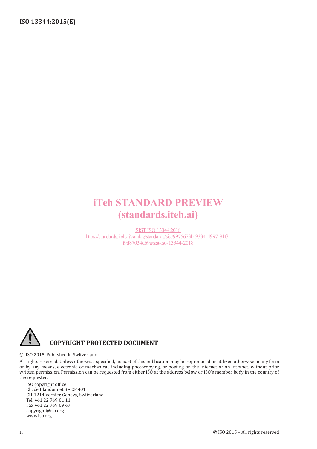# iTeh STANDARD PREVIEW (standards.iteh.ai)

SIST ISO 13344:2018 https://standards.iteh.ai/catalog/standards/sist/9975673b-9334-4997-81f3 f9d87034d69a/sist-iso-13344-2018



© ISO 2015, Published in Switzerland

All rights reserved. Unless otherwise specified, no part of this publication may be reproduced or utilized otherwise in any form or by any means, electronic or mechanical, including photocopying, or posting on the internet or an intranet, without prior written permission. Permission can be requested from either ISO at the address below or ISO's member body in the country of the requester.

ISO copyright office Ch. de Blandonnet 8 • CP 401 CH-1214 Vernier, Geneva, Switzerland Tel. +41 22 749 01 11 Fax +41 22 749 09 47 copyright@iso.org www.iso.org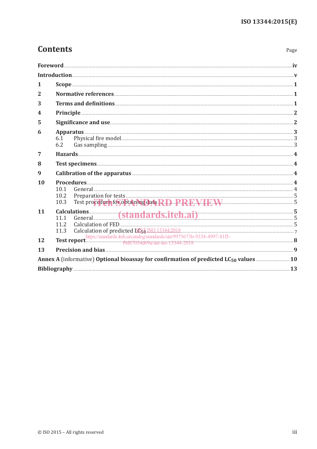Page

### **Contents**

| 1              |                                                                                                                      |  |
|----------------|----------------------------------------------------------------------------------------------------------------------|--|
| 2              |                                                                                                                      |  |
| 3              |                                                                                                                      |  |
| 4              |                                                                                                                      |  |
| 5              |                                                                                                                      |  |
| 6              | Apparatus 3<br>6.1<br>6.2                                                                                            |  |
| $\overline{7}$ |                                                                                                                      |  |
| 8              |                                                                                                                      |  |
| 9              | Calibration of the apparatus <b>Exercise Acidemy Acidemy Acidemy Acidemy Acidemy Acidemy Acidemy Acidemy Acidemy</b> |  |
| 10             | 10.1<br>Preparation for tests 55<br>Test procedure for obtaining data RD PREVIEW 55<br>10.2<br>10.3                  |  |
| 11             | Calculations (standards.iteh.ai) 5<br>11.1 General 5<br>11.2<br>Calculation of predicted EGG ISO 13344:2018<br>11.3  |  |
| 12             | 1                                                                                                                    |  |
| 13             | Precision and bias 2000 and the settlem of the settlem of the settlem of the settlem of the settlem of the set       |  |
|                |                                                                                                                      |  |
|                |                                                                                                                      |  |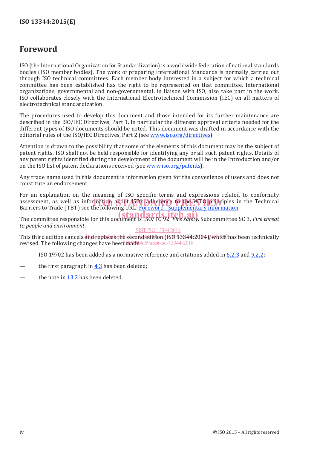### **Foreword**

ISO (the International Organization for Standardization) is a worldwide federation of national standards bodies (ISO member bodies). The work of preparing International Standards is normally carried out through ISO technical committees. Each member body interested in a subject for which a technical committee has been established has the right to be represented on that committee. International organizations, governmental and non-governmental, in liaison with ISO, also take part in the work. ISO collaborates closely with the International Electrotechnical Commission (IEC) on all matters of electrotechnical standardization.

The procedures used to develop this document and those intended for its further maintenance are described in the ISO/IEC Directives, Part 1. In particular the different approval criteria needed for the different types of ISO documents should be noted. This document was drafted in accordance with the editorial rules of the ISO/IEC Directives, Part 2 (see www.iso.org/directives).

Attention is drawn to the possibility that some of the elements of this document may be the subject of patent rights. ISO shall not be held responsible for identifying any or all such patent rights. Details of any patent rights identified during the development of the document will be in the Introduction and/or on the ISO list of patent declarations received (see www.iso.org/patents).

Any trade name used in this document is information given for the convenience of users and does not constitute an endorsement.

For an explanation on the meaning of ISO specific terms and expressions related to conformity assessment, as well as information about ISO's adherence to the WTO principles in the Technical<br>Barriers to Trade (TBT) see the following URL: Foreword - Supplementary information Barriers to Trade (TBT) see the following URL: Foreword - Supplementary information

The committee responsible for this document is ISO/TC 92, *Fire safety*, Subcommittee SC 3, *Fire threat* **(standards.iteh.ai)** *to people and environment*. SIST ISO 13344:2018

### This third edition cancels and replaces the second edition (ISO973844:2004), which has been technically revised. The following changes have been made4d69a/sist-iso-13344-2018

- ISO 19702 has been added as a normative reference and citations added in 6.2.3 and 9.2.2;
- the first paragraph in  $4.3$  has been deleted;
- the note in 13.2 has been deleted.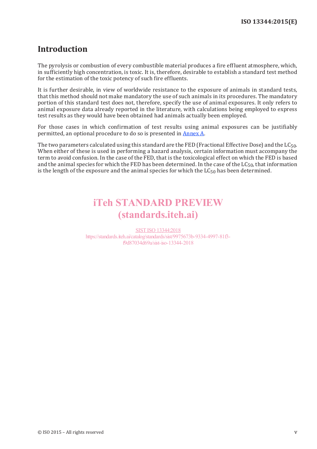### **Introduction**

The pyrolysis or combustion of every combustible material produces a fire effluent atmosphere, which, in sufficiently high concentration, is toxic. It is, therefore, desirable to establish a standard test method for the estimation of the toxic potency of such fire effluents.

It is further desirable, in view of worldwide resistance to the exposure of animals in standard tests, that this method should not make mandatory the use of such animals in its procedures. The mandatory portion of this standard test does not, therefore, specify the use of animal exposures. It only refers to animal exposure data already reported in the literature, with calculations being employed to express test results as they would have been obtained had animals actually been employed.

For those cases in which confirmation of test results using animal exposures can be justifiably permitted, an optional procedure to do so is presented in Annex A.

The two parameters calculated using this standard are the FED (Fractional Effective Dose) and the  $LG_{50}$ . When either of these is used in performing a hazard analysis, certain information must accompany the term to avoid confusion. In the case of the FED, that is the toxicological effect on which the FED is based and the animal species for which the FED has been determined. In the case of the  $LC_{50}$ , that information is the length of the exposure and the animal species for which the  $LC_{50}$  has been determined.

# iTeh STANDARD PREVIEW (standards.iteh.ai)

SIST ISO 13344:2018 https://standards.iteh.ai/catalog/standards/sist/9975673b-9334-4997-81f3 f9d87034d69a/sist-iso-13344-2018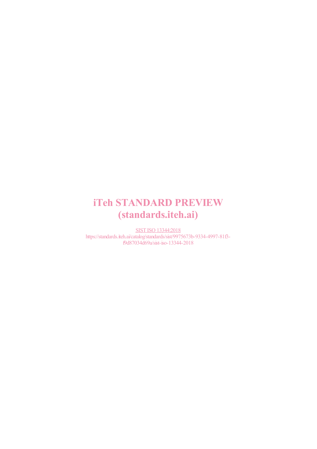# iTeh STANDARD PREVIEW (standards.iteh.ai)

SIST ISO 13344:2018 https://standards.iteh.ai/catalog/standards/sist/9975673b-9334-4997-81f3 f9d87034d69a/sist-iso-13344-2018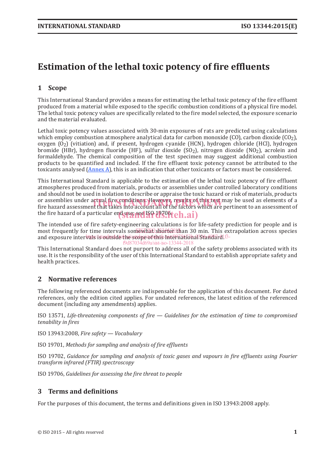## **Estimation of the lethal toxic potency of fire effluents**

### **1 Scope**

This International Standard provides a means for estimating the lethal toxic potency of the fire effluent produced from a material while exposed to the specific combustion conditions of a physical fire model. The lethal toxic potency values are specifically related to the fire model selected, the exposure scenario and the material evaluated.

Lethal toxic potency values associated with 30-min exposures of rats are predicted using calculations which employ combustion atmosphere analytical data for carbon monoxide (CO), carbon dioxide ( $CO<sub>2</sub>$ ), oxygen (O2) (vitiation) and, if present, hydrogen cyanide (HCN), hydrogen chloride (HCl), hydrogen bromide (HBr), hydrogen fluoride (HF), sulfur dioxide (SO<sub>2</sub>), nitrogen dioxide (NO<sub>2</sub>), acrolein and formaldehyde. The chemical composition of the test specimen may suggest additional combustion products to be quantified and included. If the fire effluent toxic potency cannot be attributed to the toxicants analysed  $(\underline{\text{Annex }A})$ , this is an indication that other toxicants or factors must be considered.

This International Standard is applicable to the estimation of the lethal toxic potency of fire effluent atmospheres produced from materials, products or assemblies under controlled laboratory conditions and should not be used in isolation to describe or appraise the toxic hazard or risk of materials, products or assemblies under actual fire conditions. However, results of this test may be used as elements of a<br>fire hazard assessment that takes into account all of the factors which are pertinent to an assessment of fire hazard assessment that takes into account all of the factors which are pertinent to an assessment of the fire hazard of a particular end use; see ISO 1970ft  $\epsilon h.ai)$ 

The intended use of fire safety-engineering calculations is for life-safety prediction for people and is most frequently for time intervals somewhat shorter than 30 min. This extrapolation across species and exposure intervals/is outside the scope of this International Standard! Bf9d87034d69a/sist-iso-13344-2018

This International Standard does not purport to address all of the safety problems associated with its use. It is the responsibility of the user of this International Standard to establish appropriate safety and health practices.

### **2 Normative references**

The following referenced documents are indispensable for the application of this document. For dated references, only the edition cited applies. For undated references, the latest edition of the referenced document (including any amendments) applies.

ISO 13571, *Life-threatening components of fire — Guidelines for the estimation of time to compromised tenability in fires*

ISO 13943:2008, *Fire safety — Vocabulary*

ISO 19701, *Methods for sampling and analysis of fire effluents*

ISO 19702, *Guidance for sampling and analysis of toxic gases and vapours in fire effluents using Fourier transform infrared (FTIR) spectroscopy*

ISO 19706, *Guidelines for assessing the fire threat to people*

### **3 Terms and definitions**

For the purposes of this document, the terms and definitions given in ISO 13943:2008 apply.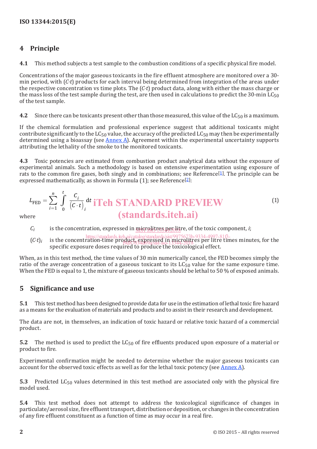### **4 Principle**

**4.1** This method subjects a test sample to the combustion conditions of a specific physical fire model.

Concentrations of the major gaseous toxicants in the fire effluent atmosphere are monitored over a 30 min period, with (*C*⋅*t*) products for each interval being determined from integration of the areas under the respective concentration vs time plots. The (*C*⋅*t*) product data, along with either the mass charge or the mass loss of the test sample during the test, are then used in calculations to predict the 30-min  $LC_{50}$ of the test sample.

**4.2** Since there can be toxicants present other than those measured, this value of the  $LG_{50}$  is a maximum.

If the chemical formulation and professional experience suggest that additional toxicants might contribute significantly to the  $LC_{50}$  value, the accuracy of the predicted  $LC_{50}$  may then be experimentally determined using a bioassay (see Annex A). Agreement within the experimental uncertainty supports attributing the lethality of the smoke to the monitored toxicants.

**4.3** Toxic potencies are estimated from combustion product analytical data without the exposure of experimental animals. Such a methodology is based on extensive experimentation using exposure of rats to the common fire gases, both singly and in combinations; see Reference<sup>[1]</sup>. The principle can be expressed mathematically, as shown in Formula  $(1)$ ; see Reference<sup>[2]</sup>:

$$
L_{\text{FED}} = \sum_{i=1}^{n} \int_{0}^{t} \frac{C_i}{(C \cdot t)_i} dt
$$
 **if IFANDARD PREVIEW** (1)  
**if strational is: if if if if if if if if if if if if if if if if if if if if if if if if if if if if if if if if if if if if if if if if if if if if if if if if if if if if if if if if if if if if if if if if if if if if if if if if if if if if if if if if if if if if if if if if if if if if if if if if**

where

- $C_i$  is the concentration, expressed in  $\frac{m_i}{n}$  is the foxic component, *i*;
- https://standards.iteh.ai/catalog/standards/sist/9975673b-9334-4997-81f3-<br>(*C*⋅*t*)<sub>*i*</sub> is the concentration-time product, expressed in microphytes per litre times minutes, for the specific exposure doses required to produce the toxicological effect. f9d87034d69a/sist-iso-13344-2018

When, as in this test method, the time values of 30 min numerically cancel, the FED becomes simply the ratio of the average concentration of a gaseous toxicant to its  $LC_{50}$  value for the same exposure time. When the FED is equal to 1, the mixture of gaseous toxicants should be lethal to 50 % of exposed animals.

### **5 Significance and use**

**5.1** This test method has been designed to provide data for use in the estimation of lethal toxic fire hazard as a means for the evaluation of materials and products and to assist in their research and development.

The data are not, in themselves, an indication of toxic hazard or relative toxic hazard of a commercial product.

**5.2** The method is used to predict the  $LC_{50}$  of fire effluents produced upon exposure of a material or product to fire.

Experimental confirmation might be needed to determine whether the major gaseous toxicants can account for the observed toxic effects as well as for the lethal toxic potency (see Annex A).

**5.3** Predicted LC<sub>50</sub> values determined in this test method are associated only with the physical fire model used.

**5.4** This test method does not attempt to address the toxicological significance of changes in particulate/aerosol size, fire effluent transport, distribution or deposition, or changes in the concentration of any fire effluent constituent as a function of time as may occur in a real fire.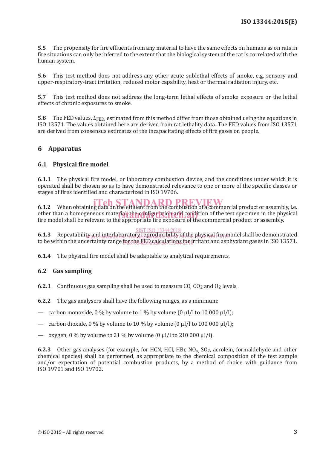**5.5** The propensity for fire effluents from any material to have the same effects on humans as on rats in fire situations can only be inferred to the extent that the biological system of the rat is correlated with the human system.

**5.6** This test method does not address any other acute sublethal effects of smoke, e.g. sensory and upper-respiratory-tract irritation, reduced motor capability, heat or thermal radiation injury, etc.

**5.7** This test method does not address the long-term lethal effects of smoke exposure or the lethal effects of chronic exposures to smoke.

**5.8** The FED values,  $L_{\text{FFD}}$ , estimated from this method differ from those obtained using the equations in ISO 13571. The values obtained here are derived from rat lethality data. The FED values from ISO 13571 are derived from consensus estimates of the incapacitating effects of fire gases on people.

#### **6 Apparatus**

#### **6.1 Physical fire model**

**6.1.1** The physical fire model, or laboratory combustion device, and the conditions under which it is operated shall be chosen so as to have demonstrated relevance to one or more of the specific classes or stages of fires identified and characterized in ISO 19706.

**6.1.2** When obtaining data on the effluent from the combustion of a commercial product or assembly, i.e. other than a homogeneous material, the configuration and condition of the test specimen in the physical fire model shall be relevant to the appropriate fire exposure of the commercial product or assembly fire model shall be relevant to the appropriate fire exposure of the commercial product or assembly.

#### SIST ISO 13344:2018

**6.1.3** Repeatability and interlaboratory reproducibility of the physical fire model shall be demonstrated to be within the uncertainty range for the LED calculations for irritant and asphyxiant gases in ISO 13571. ty.and.interlaboratory.reproducibility-ot the physical fire mi

**6.1.4** The physical fire model shall be adaptable to analytical requirements.

#### **6.2 Gas sampling**

**6.2.1** Continuous gas sampling shall be used to measure CO,  $CO<sub>2</sub>$  and  $O<sub>2</sub>$  levels.

**6.2.2** The gas analysers shall have the following ranges, as a minimum:

- carbon monoxide, 0 % by volume to 1 % by volume  $(0 \mu l/l$  to 10 000  $\mu l/l$ );
- carbon dioxide,  $0\%$  by volume to 10 % by volume  $(0 \mu l/l \cdot 100000 \mu l/l)$ ;
- oxygen,  $0\%$  by volume to 21 % by volume  $(0 \mu l/l)$  to 210 000  $\mu l/l$ .

**6.2.3** Other gas analyses (for example, for HCN, HCl, HBr, NO<sub>x</sub>, SO<sub>2</sub>, acrolein, formaldehyde and other chemical species) shall be performed, as appropriate to the chemical composition of the test sample and/or expectation of potential combustion products, by a method of choice with guidance from ISO 19701 and ISO 19702.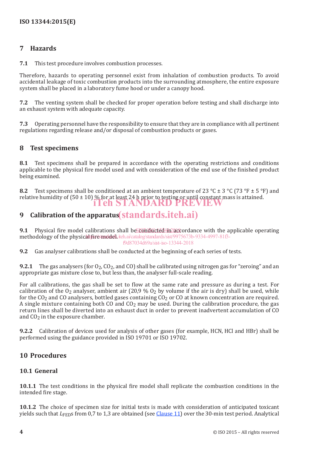### **7 Hazards**

**7.1** This test procedure involves combustion processes.

Therefore, hazards to operating personnel exist from inhalation of combustion products. To avoid accidental leakage of toxic combustion products into the surrounding atmosphere, the entire exposure system shall be placed in a laboratory fume hood or under a canopy hood.

**7.2** The venting system shall be checked for proper operation before testing and shall discharge into an exhaust system with adequate capacity.

**7.3** Operating personnel have the responsibility to ensure that they are in compliance with all pertinent regulations regarding release and/or disposal of combustion products or gases.

### **8 Test specimens**

**8.1** Test specimens shall be prepared in accordance with the operating restrictions and conditions applicable to the physical fire model used and with consideration of the end use of the finished product being examined.

**8.2** Test specimens shall be conditioned at an ambient temperature of 23 °C  $\pm$  3 °C (73 °F  $\pm$  5 °F) and relative humidity of  $(50 \pm 10)$ % for at least 24 h prior to testing or until constant mass is attained. iTeh STANDARD PREVIEW

# **9 Calibration of the apparatus** (standards.iteh.ai)

**9.1** Physical fire model calibrations shall be conducted in accordance with the applicable operating methodology of the physical fire model. iteh.ai/catalog/standards/sist/9975673b-9334-4997-81f3f9d87034d69a/sist-iso-13344-2018

**9.2** Gas analyser calibrations shall be conducted at the beginning of each series of tests.

**9.2.1** The gas analysers (for  $O_2$ ,  $CO_2$ , and  $CO$ ) shall be calibrated using nitrogen gas for "zeroing" and an appropriate gas mixture close to, but less than, the analyser full-scale reading.

For all calibrations, the gas shall be set to flow at the same rate and pressure as during a test. For calibration of the  $O_2$  analyser, ambient air (20,9 %  $O_2$  by volume if the air is dry) shall be used, while for the  $CO<sub>2</sub>$  and CO analysers, bottled gases containing  $CO<sub>2</sub>$  or CO at known concentration are required. A single mixture containing both CO and  $CO<sub>2</sub>$  may be used. During the calibration procedure, the gas return lines shall be diverted into an exhaust duct in order to prevent inadvertent accumulation of CO and CO<sub>2</sub> in the exposure chamber.

**9.2.2** Calibration of devices used for analysis of other gases (for example, HCN, HCl and HBr) shall be performed using the guidance provided in ISO 19701 or ISO 19702.

### **10 Procedures**

#### **10.1 General**

**10.1.1** The test conditions in the physical fire model shall replicate the combustion conditions in the intended fire stage.

**10.1.2** The choice of specimen size for initial tests is made with consideration of anticipated toxicant yields such that *L*FEDs from 0,7 to 1,3 are obtained (see Clause 11) over the 30-min test period. Analytical